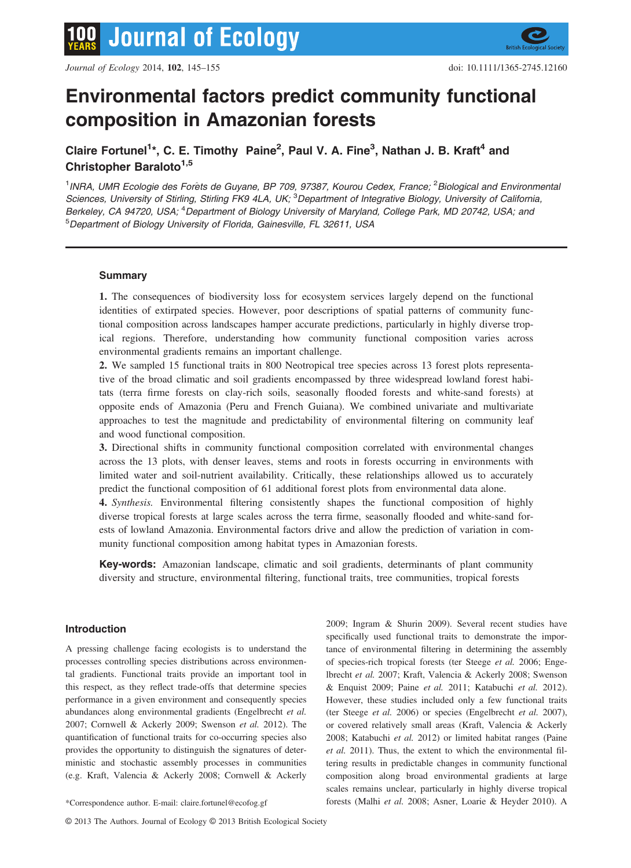

# Environmental factors predict community functional composition in Amazonian forests

Claire Fortunel<sup>1\*</sup>, C. E. Timothy Paine<sup>2</sup>, Paul V. A. Fine<sup>3</sup>, Nathan J. B. Kraft<sup>4</sup> and Christopher Baraloto<sup>1,5</sup>

<sup>1</sup>INRA, UMR Ecologie des Forêts de Guyane, BP 709, 97387, Kourou Cedex, France; <sup>2</sup> Biological and Environmental Sciences, University of Stirling, Stirling FK9 4LA, UK; <sup>3</sup>Department of Integrative Biology, University of California, Berkeley, CA 94720, USA; <sup>4</sup>Department of Biology University of Maryland, College Park, MD 20742, USA; and 5 Department of Biology University of Florida, Gainesville, FL 32611, USA

# Summary

1. The consequences of biodiversity loss for ecosystem services largely depend on the functional identities of extirpated species. However, poor descriptions of spatial patterns of community functional composition across landscapes hamper accurate predictions, particularly in highly diverse tropical regions. Therefore, understanding how community functional composition varies across environmental gradients remains an important challenge.

2. We sampled 15 functional traits in 800 Neotropical tree species across 13 forest plots representative of the broad climatic and soil gradients encompassed by three widespread lowland forest habitats (terra firme forests on clay-rich soils, seasonally flooded forests and white-sand forests) at opposite ends of Amazonia (Peru and French Guiana). We combined univariate and multivariate approaches to test the magnitude and predictability of environmental filtering on community leaf and wood functional composition.

3. Directional shifts in community functional composition correlated with environmental changes across the 13 plots, with denser leaves, stems and roots in forests occurring in environments with limited water and soil-nutrient availability. Critically, these relationships allowed us to accurately predict the functional composition of 61 additional forest plots from environmental data alone.

4. Synthesis. Environmental filtering consistently shapes the functional composition of highly diverse tropical forests at large scales across the terra firme, seasonally flooded and white-sand forests of lowland Amazonia. Environmental factors drive and allow the prediction of variation in community functional composition among habitat types in Amazonian forests.

Key-words: Amazonian landscape, climatic and soil gradients, determinants of plant community diversity and structure, environmental filtering, functional traits, tree communities, tropical forests

# Introduction

A pressing challenge facing ecologists is to understand the processes controlling species distributions across environmental gradients. Functional traits provide an important tool in this respect, as they reflect trade-offs that determine species performance in a given environment and consequently species abundances along environmental gradients (Engelbrecht et al. 2007; Cornwell & Ackerly 2009; Swenson et al. 2012). The quantification of functional traits for co-occurring species also provides the opportunity to distinguish the signatures of deterministic and stochastic assembly processes in communities (e.g. Kraft, Valencia & Ackerly 2008; Cornwell & Ackerly

2009; Ingram & Shurin 2009). Several recent studies have specifically used functional traits to demonstrate the importance of environmental filtering in determining the assembly of species-rich tropical forests (ter Steege et al. 2006; Engelbrecht et al. 2007; Kraft, Valencia & Ackerly 2008; Swenson & Enquist 2009; Paine et al. 2011; Katabuchi et al. 2012). However, these studies included only a few functional traits (ter Steege et al. 2006) or species (Engelbrecht et al. 2007), or covered relatively small areas (Kraft, Valencia & Ackerly 2008; Katabuchi et al. 2012) or limited habitat ranges (Paine et al. 2011). Thus, the extent to which the environmental filtering results in predictable changes in community functional composition along broad environmental gradients at large scales remains unclear, particularly in highly diverse tropical \*Correspondence author. E-mail: claire.fortunel@ecofog.gf forests (Malhi et al. 2008; Asner, Loarie & Heyder 2010). A

© 2013 The Authors. Journal of Ecology © 2013 British Ecological Society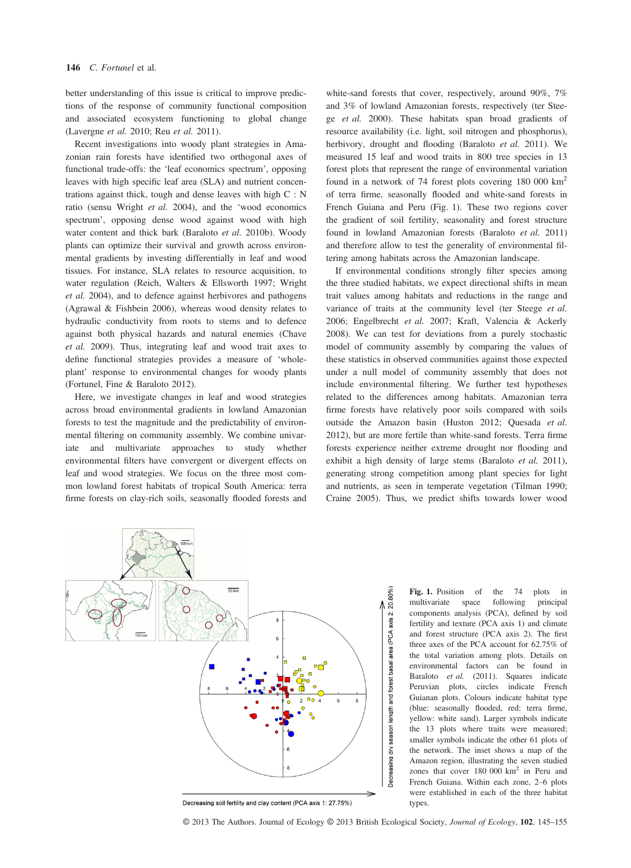better understanding of this issue is critical to improve predictions of the response of community functional composition and associated ecosystem functioning to global change (Lavergne et al. 2010; Reu et al. 2011).

Recent investigations into woody plant strategies in Amazonian rain forests have identified two orthogonal axes of functional trade-offs: the 'leaf economics spectrum', opposing leaves with high specific leaf area (SLA) and nutrient concentrations against thick, tough and dense leaves with high C : N ratio (sensu Wright et al. 2004), and the 'wood economics spectrum', opposing dense wood against wood with high water content and thick bark (Baraloto et al. 2010b). Woody plants can optimize their survival and growth across environmental gradients by investing differentially in leaf and wood tissues. For instance, SLA relates to resource acquisition, to water regulation (Reich, Walters & Ellsworth 1997; Wright et al. 2004), and to defence against herbivores and pathogens (Agrawal & Fishbein 2006), whereas wood density relates to hydraulic conductivity from roots to stems and to defence against both physical hazards and natural enemies (Chave et al. 2009). Thus, integrating leaf and wood trait axes to define functional strategies provides a measure of 'wholeplant' response to environmental changes for woody plants (Fortunel, Fine & Baraloto 2012).

Here, we investigate changes in leaf and wood strategies across broad environmental gradients in lowland Amazonian forests to test the magnitude and the predictability of environmental filtering on community assembly. We combine univariate and multivariate approaches to study whether environmental filters have convergent or divergent effects on leaf and wood strategies. We focus on the three most common lowland forest habitats of tropical South America: terra firme forests on clay-rich soils, seasonally flooded forests and

white-sand forests that cover, respectively, around 90%, 7% and 3% of lowland Amazonian forests, respectively (ter Steege et al. 2000). These habitats span broad gradients of resource availability (i.e. light, soil nitrogen and phosphorus), herbivory, drought and flooding (Baraloto et al. 2011). We measured 15 leaf and wood traits in 800 tree species in 13 forest plots that represent the range of environmental variation found in a network of 74 forest plots covering  $180,000 \text{ km}^2$ of terra firme, seasonally flooded and white-sand forests in French Guiana and Peru (Fig. 1). These two regions cover the gradient of soil fertility, seasonality and forest structure found in lowland Amazonian forests (Baraloto et al. 2011) and therefore allow to test the generality of environmental filtering among habitats across the Amazonian landscape.

If environmental conditions strongly filter species among the three studied habitats, we expect directional shifts in mean trait values among habitats and reductions in the range and variance of traits at the community level (ter Steege et al. 2006; Engelbrecht et al. 2007; Kraft, Valencia & Ackerly 2008). We can test for deviations from a purely stochastic model of community assembly by comparing the values of these statistics in observed communities against those expected under a null model of community assembly that does not include environmental filtering. We further test hypotheses related to the differences among habitats. Amazonian terra firme forests have relatively poor soils compared with soils outside the Amazon basin (Huston 2012; Quesada et al. 2012), but are more fertile than white-sand forests. Terra firme forests experience neither extreme drought nor flooding and exhibit a high density of large stems (Baraloto et al. 2011), generating strong competition among plant species for light and nutrients, as seen in temperate vegetation (Tilman 1990; Craine 2005). Thus, we predict shifts towards lower wood



Decreasing soil fertility and clay content (PCA axis 1: 27.75%)

Fig. 1. Position of the 74 plots in multivariate space following principal space following components analysis (PCA), defined by soil fertility and texture (PCA axis 1) and climate and forest structure (PCA axis 2). The first three axes of the PCA account for 62.75% of the total variation among plots. Details on environmental factors can be found in Baraloto et al. (2011). Squares indicate Peruvian plots, circles indicate French Guianan plots. Colours indicate habitat type (blue: seasonally flooded, red: terra firme, yellow: white sand). Larger symbols indicate the 13 plots where traits were measured; smaller symbols indicate the other 61 plots of the network. The inset shows a map of the Amazon region, illustrating the seven studied zones that cover  $180,000 \text{ km}^2$  in Peru and French Guiana. Within each zone, 2–6 plots were established in each of the three habitat types.

© 2013 The Authors. Journal of Ecology © 2013 British Ecological Society, Journal of Ecology, 102, 145-155

80%)

and forest basal area (PCA axis 2:

Decreasing dry season length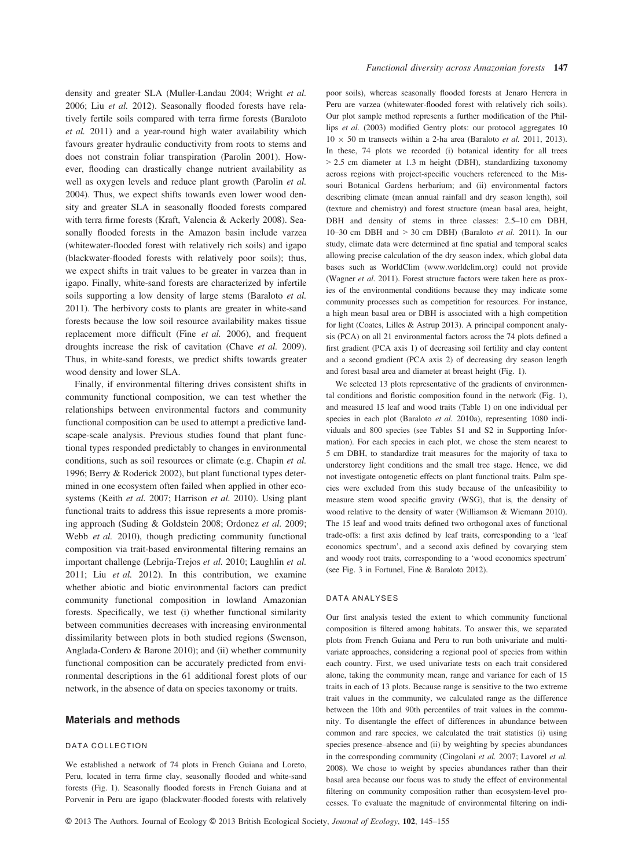density and greater SLA (Muller-Landau 2004; Wright et al. 2006; Liu et al. 2012). Seasonally flooded forests have relatively fertile soils compared with terra firme forests (Baraloto et al. 2011) and a year-round high water availability which favours greater hydraulic conductivity from roots to stems and does not constrain foliar transpiration (Parolin 2001). However, flooding can drastically change nutrient availability as well as oxygen levels and reduce plant growth (Parolin et al. 2004). Thus, we expect shifts towards even lower wood density and greater SLA in seasonally flooded forests compared with terra firme forests (Kraft, Valencia & Ackerly 2008). Seasonally flooded forests in the Amazon basin include varzea (whitewater-flooded forest with relatively rich soils) and igapo (blackwater-flooded forests with relatively poor soils); thus, we expect shifts in trait values to be greater in varzea than in igapo. Finally, white-sand forests are characterized by infertile soils supporting a low density of large stems (Baraloto et al. 2011). The herbivory costs to plants are greater in white-sand forests because the low soil resource availability makes tissue replacement more difficult (Fine et al. 2006), and frequent droughts increase the risk of cavitation (Chave et al. 2009). Thus, in white-sand forests, we predict shifts towards greater wood density and lower SLA.

Finally, if environmental filtering drives consistent shifts in community functional composition, we can test whether the relationships between environmental factors and community functional composition can be used to attempt a predictive landscape-scale analysis. Previous studies found that plant functional types responded predictably to changes in environmental conditions, such as soil resources or climate (e.g. Chapin et al. 1996; Berry & Roderick 2002), but plant functional types determined in one ecosystem often failed when applied in other ecosystems (Keith et al. 2007; Harrison et al. 2010). Using plant functional traits to address this issue represents a more promising approach (Suding & Goldstein 2008; Ordonez et al. 2009; Webb et al. 2010), though predicting community functional composition via trait-based environmental filtering remains an important challenge (Lebrija-Trejos et al. 2010; Laughlin et al. 2011; Liu et al. 2012). In this contribution, we examine whether abiotic and biotic environmental factors can predict community functional composition in lowland Amazonian forests. Specifically, we test (i) whether functional similarity between communities decreases with increasing environmental dissimilarity between plots in both studied regions (Swenson, Anglada-Cordero & Barone 2010); and (ii) whether community functional composition can be accurately predicted from environmental descriptions in the 61 additional forest plots of our network, in the absence of data on species taxonomy or traits.

#### Materials and methods

#### DATA COLLECTION

We established a network of 74 plots in French Guiana and Loreto, Peru, located in terra firme clay, seasonally flooded and white-sand forests (Fig. 1). Seasonally flooded forests in French Guiana and at Porvenir in Peru are igapo (blackwater-flooded forests with relatively poor soils), whereas seasonally flooded forests at Jenaro Herrera in Peru are varzea (whitewater-flooded forest with relatively rich soils). Our plot sample method represents a further modification of the Phillips *et al.* (2003) modified Gentry plots: our protocol aggregates 10  $10 \times 50$  m transects within a 2-ha area (Baraloto *et al.* 2011, 2013). In these, 74 plots we recorded (i) botanical identity for all trees > 2.5 cm diameter at 1.3 m height (DBH), standardizing taxonomy across regions with project-specific vouchers referenced to the Missouri Botanical Gardens herbarium; and (ii) environmental factors describing climate (mean annual rainfall and dry season length), soil (texture and chemistry) and forest structure (mean basal area, height, DBH and density of stems in three classes: 2.5–10 cm DBH, 10–30 cm DBH and  $>$  30 cm DBH) (Baraloto *et al.* 2011). In our study, climate data were determined at fine spatial and temporal scales allowing precise calculation of the dry season index, which global data bases such as WorldClim (www.worldclim.org) could not provide (Wagner et al. 2011). Forest structure factors were taken here as proxies of the environmental conditions because they may indicate some community processes such as competition for resources. For instance, a high mean basal area or DBH is associated with a high competition for light (Coates, Lilles & Astrup 2013). A principal component analysis (PCA) on all 21 environmental factors across the 74 plots defined a first gradient (PCA axis 1) of decreasing soil fertility and clay content and a second gradient (PCA axis 2) of decreasing dry season length and forest basal area and diameter at breast height (Fig. 1).

We selected 13 plots representative of the gradients of environmental conditions and floristic composition found in the network (Fig. 1), and measured 15 leaf and wood traits (Table 1) on one individual per species in each plot (Baraloto et al. 2010a), representing 1080 individuals and 800 species (see Tables S1 and S2 in Supporting Information). For each species in each plot, we chose the stem nearest to 5 cm DBH, to standardize trait measures for the majority of taxa to understorey light conditions and the small tree stage. Hence, we did not investigate ontogenetic effects on plant functional traits. Palm species were excluded from this study because of the unfeasibility to measure stem wood specific gravity (WSG), that is, the density of wood relative to the density of water (Williamson & Wiemann 2010). The 15 leaf and wood traits defined two orthogonal axes of functional trade-offs: a first axis defined by leaf traits, corresponding to a 'leaf economics spectrum', and a second axis defined by covarying stem and woody root traits, corresponding to a 'wood economics spectrum' (see Fig. 3 in Fortunel, Fine & Baraloto 2012).

#### DATA ANALYSES

Our first analysis tested the extent to which community functional composition is filtered among habitats. To answer this, we separated plots from French Guiana and Peru to run both univariate and multivariate approaches, considering a regional pool of species from within each country. First, we used univariate tests on each trait considered alone, taking the community mean, range and variance for each of 15 traits in each of 13 plots. Because range is sensitive to the two extreme trait values in the community, we calculated range as the difference between the 10th and 90th percentiles of trait values in the community. To disentangle the effect of differences in abundance between common and rare species, we calculated the trait statistics (i) using species presence–absence and (ii) by weighting by species abundances in the corresponding community (Cingolani et al. 2007; Lavorel et al. 2008). We chose to weight by species abundances rather than their basal area because our focus was to study the effect of environmental filtering on community composition rather than ecosystem-level processes. To evaluate the magnitude of environmental filtering on indi-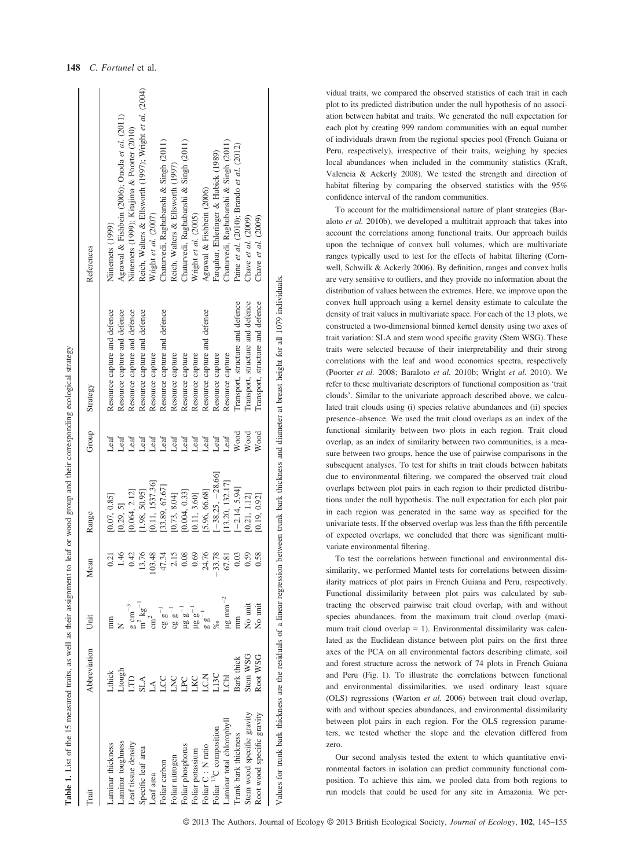| Trait                              | Abbreviation | Ĕ                           | Mean                  | Range              | Group | Strategy                         | References                                              |
|------------------------------------|--------------|-----------------------------|-----------------------|--------------------|-------|----------------------------------|---------------------------------------------------------|
| aminar thickness                   | Lthick       |                             | $\overline{21}$       | [0.07, 0.85]       | Leaf  | Resource capture and defence     | Niinemets (1999)                                        |
| aminar toughness                   | Ltough       |                             | $-46$                 | [0.29, 5]          | Leaf  | Resource capture and defence     | Agrawal & Fishbein (2006); Onoda et al. (2011)          |
| Leaf tissue density                |              | $g \text{ cm}^{-3}$         | $0.42$<br>13.76       | [0.064, 2.12]      | Leaf  | Resource capture and defence     | Niinemets (1999); Kitajima & Poorter (2010)             |
| Specific leaf area                 | <b>SLA</b>   | $\frac{m^2 k g^{-1}}{cm^2}$ |                       | 1.98, 50.95]       | Leaf  | Resource capture and defence     | Reich, Walters & Ellsworth (1997); Wright et al. (2004) |
| Leaf area                          |              |                             | 48<br>103             | [0.11, 1537.36]    | Leaf  | Resource capture                 | Wright et al. $(2007)$                                  |
| Foliar carbon                      | SC           | $c g g^{-1}$                | 47.34                 | [33.89, 67.67]     | Leaf  | Resource capture and defence     | Chaturvedi, Raghubanshi & Singh (2011)                  |
| Foliar nitrogen                    | LNC          |                             | 2.15                  | [0.73, 8.04]       | Leaf  | Resource capture                 | Reich, Walters & Ellsworth (1997)                       |
| Foliar phosphorus                  | LPC          |                             | 0.08                  | [0.004, 0.33]      | Leaf  | Resource capture                 | Chaturvedi, Raghubanshi & Singh (2011)                  |
| Foliar potassium                   | LKC          |                             | 0.69                  | [0.11, 3.60]       | Leaf  | Resource capture                 | Wright et al. (2005)                                    |
| Foliar C: N ratio                  | LC.N         |                             | 24.76                 | [5.96, 66.68]      | Leaf  | Resource capture and defence     | Agrawal & Fishbein (2006)                               |
| Foliar <sup>13</sup> C composition | L13C         |                             | $-33.78$              | $[-38.25, -28.66]$ | Leaf  | Resource capture                 | Farquhar, Ehleringer & Hubick (1989)                    |
| Laminar total chlorophyll          | LСhl         | $\mu\text{g mm}^{-2}$       | $\overline{8}$<br>67. | [13.20, 132.17]    | Leaf  | Resource capture                 | Chaturvedi, Raghubanshi & Singh (2011)                  |
| Trunk bark thickness               | Bark thick   | mm                          | 0.03                  | $[-2.14, 5.94]$    | Wood  | Transport, structure and defence | Paine et al. (2010); Brando et al. (2012)               |
| Stem wood specific gravity         | Stem WSG     | No unit                     | 59                    | [0.21, 1.12]       | Wood  | Transport, structure and defence | Chave et al. $(2009)$                                   |
| Root wood specific gravity         | Root WSG     | No unit                     | 58.                   | [0.19, 0.92]       | Wood  | Transport, structure and defence | Chave et al. $(2009)$                                   |
|                                    |              |                             |                       |                    |       |                                  |                                                         |

Values for trunk bark thickness are the residuals of a linear regression between trunk bark thickness and diameter at breast height for all 1079 individuals. Values for trunk bark thickness are the residuals of a linear regression between trunk bark thickness and diameter at breast height for all 1079 individuals. vidual traits, we compared the observed statistics of each trait in each plot to its predicted distribution under the null hypothesis of no association between habitat and traits. We generated the null expectation for each plot by creating 999 random communities with an equal number of individuals drawn from the regional species pool (French Guiana or Peru, respectively), irrespective of their traits, weighing by species local abundances when included in the community statistics (Kraft, Valencia & Ackerly 2008). We tested the strength and direction of habitat filtering by comparing the observed statistics with the 95% confidence interval of the random communities.

To account for the multidimensional nature of plant strategies (Baraloto et al. 2010b), we developed a multitrait approach that takes into account the correlations among functional traits. Our approach builds upon the technique of convex hull volumes, which are multivariate ranges typically used to test for the effects of habitat filtering (Cornwell, Schwilk & Ackerly 2006). By definition, ranges and convex hulls are very sensitive to outliers, and they provide no information about the distribution of values between the extremes. Here, we improve upon the convex hull approach using a kernel density estimate to calculate the density of trait values in multivariate space. For each of the 13 plots, we constructed a two-dimensional binned kernel density using two axes of trait variation: SLA and stem wood specific gravity (Stem WSG). These traits were selected because of their interpretability and their strong correlations with the leaf and wood economics spectra, respectively (Poorter et al. 2008; Baraloto et al. 2010b; Wright et al. 2010). We refer to these multivariate descriptors of functional composition as 'trait clouds'. Similar to the univariate approach described above, we calculated trait clouds using (i) species relative abundances and (ii) species presence–absence. We used the trait cloud overlaps as an index of the functional similarity between two plots in each region. Trait cloud overlap, as an index of similarity between two communities, is a measure between two groups, hence the use of pairwise comparisons in the subsequent analyses. To test for shifts in trait clouds between habitats due to environmental filtering, we compared the observed trait cloud overlaps between plot pairs in each region to their predicted distributions under the null hypothesis. The null expectation for each plot pair in each region was generated in the same way as specified for the univariate tests. If the observed overlap was less than the fifth percentile of expected overlaps, we concluded that there was significant multivariate environmental filtering.

To test the correlations between functional and environmental dissimilarity, we performed Mantel tests for correlations between dissimilarity matrices of plot pairs in French Guiana and Peru, respectively. Functional dissimilarity between plot pairs was calculated by subtracting the observed pairwise trait cloud overlap, with and without species abundances, from the maximum trait cloud overlap (maximum trait cloud overlap  $= 1$ ). Environmental dissimilarity was calculated as the Euclidean distance between plot pairs on the first three axes of the PCA on all environmental factors describing climate, soil and forest structure across the network of 74 plots in French Guiana and Peru (Fig. 1). To illustrate the correlations between functional and environmental dissimilarities, we used ordinary least square (OLS) regressions (Warton et al. 2006) between trait cloud overlap, with and without species abundances, and environmental dissimilarity between plot pairs in each region. For the OLS regression parameters, we tested whether the slope and the elevation differed from zero.

Our second analysis tested the extent to which quantitative environmental factors in isolation can predict community functional composition. To achieve this aim, we pooled data from both regions to run models that could be used for any site in Amazonia. We per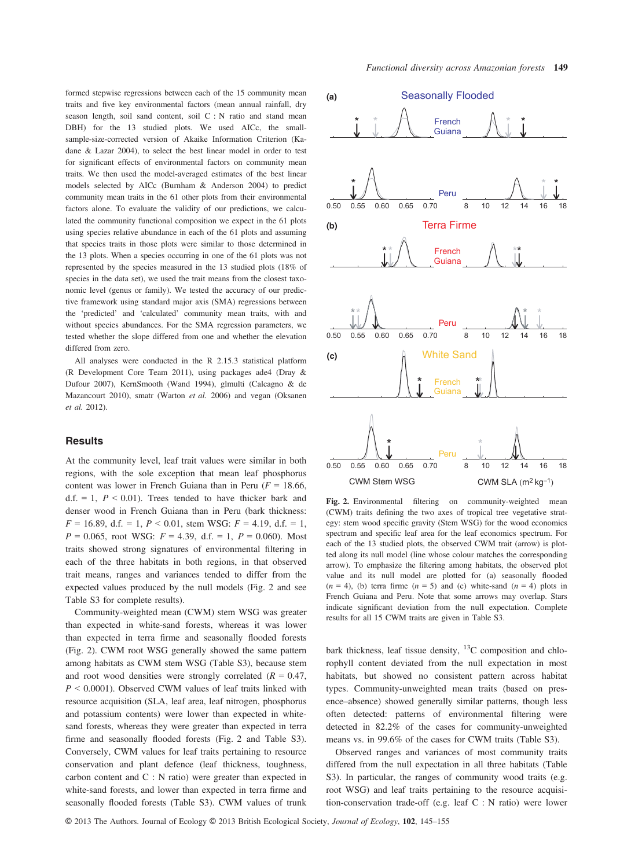formed stepwise regressions between each of the 15 community mean traits and five key environmental factors (mean annual rainfall, dry season length, soil sand content, soil C : N ratio and stand mean DBH) for the 13 studied plots. We used AICc, the smallsample-size-corrected version of Akaike Information Criterion (Kadane & Lazar 2004), to select the best linear model in order to test for significant effects of environmental factors on community mean traits. We then used the model-averaged estimates of the best linear models selected by AICc (Burnham & Anderson 2004) to predict community mean traits in the 61 other plots from their environmental factors alone. To evaluate the validity of our predictions, we calculated the community functional composition we expect in the 61 plots using species relative abundance in each of the 61 plots and assuming that species traits in those plots were similar to those determined in the 13 plots. When a species occurring in one of the 61 plots was not represented by the species measured in the 13 studied plots (18% of species in the data set), we used the trait means from the closest taxonomic level (genus or family). We tested the accuracy of our predictive framework using standard major axis (SMA) regressions between the 'predicted' and 'calculated' community mean traits, with and without species abundances. For the SMA regression parameters, we tested whether the slope differed from one and whether the elevation differed from zero.

All analyses were conducted in the R 2.15.3 statistical platform (R Development Core Team 2011), using packages ade4 (Dray & Dufour 2007), KernSmooth (Wand 1994), glmulti (Calcagno & de Mazancourt 2010), smatr (Warton et al. 2006) and vegan (Oksanen et al. 2012).

## **Results**

At the community level, leaf trait values were similar in both regions, with the sole exception that mean leaf phosphorus content was lower in French Guiana than in Peru ( $F = 18.66$ , d.f. = 1,  $P < 0.01$ ). Trees tended to have thicker bark and denser wood in French Guiana than in Peru (bark thickness:  $F = 16.89$ , d.f. = 1,  $P < 0.01$ , stem WSG:  $F = 4.19$ , d.f. = 1,  $P = 0.065$ , root WSG:  $F = 4.39$ , d.f. = 1,  $P = 0.060$ ). Most traits showed strong signatures of environmental filtering in each of the three habitats in both regions, in that observed trait means, ranges and variances tended to differ from the expected values produced by the null models (Fig. 2 and see Table S3 for complete results).

Community-weighted mean (CWM) stem WSG was greater than expected in white-sand forests, whereas it was lower than expected in terra firme and seasonally flooded forests (Fig. 2). CWM root WSG generally showed the same pattern among habitats as CWM stem WSG (Table S3), because stem and root wood densities were strongly correlated ( $R = 0.47$ ,  $P \leq 0.0001$ ). Observed CWM values of leaf traits linked with resource acquisition (SLA, leaf area, leaf nitrogen, phosphorus and potassium contents) were lower than expected in whitesand forests, whereas they were greater than expected in terra firme and seasonally flooded forests (Fig. 2 and Table S3). Conversely, CWM values for leaf traits pertaining to resource conservation and plant defence (leaf thickness, toughness, carbon content and C : N ratio) were greater than expected in white-sand forests, and lower than expected in terra firme and seasonally flooded forests (Table S3). CWM values of trunk



Fig. 2. Environmental filtering on community-weighted mean (CWM) traits defining the two axes of tropical tree vegetative strategy: stem wood specific gravity (Stem WSG) for the wood economics spectrum and specific leaf area for the leaf economics spectrum. For each of the 13 studied plots, the observed CWM trait (arrow) is plotted along its null model (line whose colour matches the corresponding arrow). To emphasize the filtering among habitats, the observed plot value and its null model are plotted for (a) seasonally flooded  $(n = 4)$ , (b) terra firme  $(n = 5)$  and (c) white-sand  $(n = 4)$  plots in French Guiana and Peru. Note that some arrows may overlap. Stars indicate significant deviation from the null expectation. Complete results for all 15 CWM traits are given in Table S3.

bark thickness, leaf tissue density,  $^{13}$ C composition and chlorophyll content deviated from the null expectation in most habitats, but showed no consistent pattern across habitat types. Community-unweighted mean traits (based on presence–absence) showed generally similar patterns, though less often detected: patterns of environmental filtering were detected in 82.2% of the cases for community-unweighted means vs. in 99.6% of the cases for CWM traits (Table S3).

Observed ranges and variances of most community traits differed from the null expectation in all three habitats (Table S3). In particular, the ranges of community wood traits (e.g. root WSG) and leaf traits pertaining to the resource acquisition-conservation trade-off (e.g. leaf C : N ratio) were lower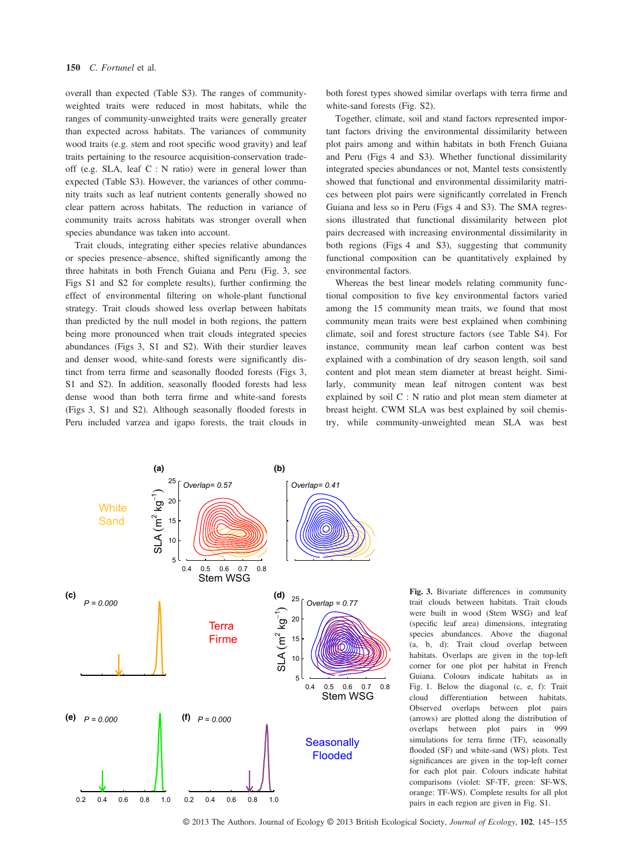overall than expected (Table S3). The ranges of communityweighted traits were reduced in most habitats, while the ranges of community-unweighted traits were generally greater than expected across habitats. The variances of community wood traits (e.g. stem and root specific wood gravity) and leaf traits pertaining to the resource acquisition-conservation tradeoff (e.g. SLA, leaf C : N ratio) were in general lower than expected (Table S3). However, the variances of other community traits such as leaf nutrient contents generally showed no clear pattern across habitats. The reduction in variance of community traits across habitats was stronger overall when species abundance was taken into account.

Trait clouds, integrating either species relative abundances or species presence–absence, shifted significantly among the three habitats in both French Guiana and Peru (Fig. 3, see Figs S1 and S2 for complete results), further confirming the effect of environmental filtering on whole-plant functional strategy. Trait clouds showed less overlap between habitats than predicted by the null model in both regions, the pattern being more pronounced when trait clouds integrated species abundances (Figs 3, S1 and S2). With their sturdier leaves and denser wood, white-sand forests were significantly distinct from terra firme and seasonally flooded forests (Figs 3, S1 and S2). In addition, seasonally flooded forests had less dense wood than both terra firme and white-sand forests (Figs 3, S1 and S2). Although seasonally flooded forests in Peru included varzea and igapo forests, the trait clouds in both forest types showed similar overlaps with terra firme and white-sand forests (Fig. S2).

Together, climate, soil and stand factors represented important factors driving the environmental dissimilarity between plot pairs among and within habitats in both French Guiana and Peru (Figs 4 and S3). Whether functional dissimilarity integrated species abundances or not, Mantel tests consistently showed that functional and environmental dissimilarity matrices between plot pairs were significantly correlated in French Guiana and less so in Peru (Figs 4 and S3). The SMA regressions illustrated that functional dissimilarity between plot pairs decreased with increasing environmental dissimilarity in both regions (Figs 4 and S3), suggesting that community functional composition can be quantitatively explained by environmental factors.

Whereas the best linear models relating community functional composition to five key environmental factors varied among the 15 community mean traits, we found that most community mean traits were best explained when combining climate, soil and forest structure factors (see Table S4). For instance, community mean leaf carbon content was best explained with a combination of dry season length, soil sand content and plot mean stem diameter at breast height. Similarly, community mean leaf nitrogen content was best explained by soil C : N ratio and plot mean stem diameter at breast height. CWM SLA was best explained by soil chemistry, while community-unweighted mean SLA was best



Fig. 3. Bivariate differences in community trait clouds between habitats. Trait clouds were built in wood (Stem WSG) and leaf (specific leaf area) dimensions, integrating species abundances. Above the diagonal (a, b, d): Trait cloud overlap between habitats. Overlaps are given in the top-left corner for one plot per habitat in French Guiana. Colours indicate habitats as in Fig. 1. Below the diagonal (c, e, f): Trait cloud differentiation between habitats. Observed overlaps between plot pairs (arrows) are plotted along the distribution of overlaps between plot pairs in 999 simulations for terra firme (TF), seasonally flooded (SF) and white-sand (WS) plots. Test significances are given in the top-left corner for each plot pair. Colours indicate habitat comparisons (violet: SF-TF, green: SF-WS, orange: TF-WS). Complete results for all plot pairs in each region are given in Fig. S1.

© 2013 The Authors. Journal of Ecology © 2013 British Ecological Society, Journal of Ecology, 102, 145-155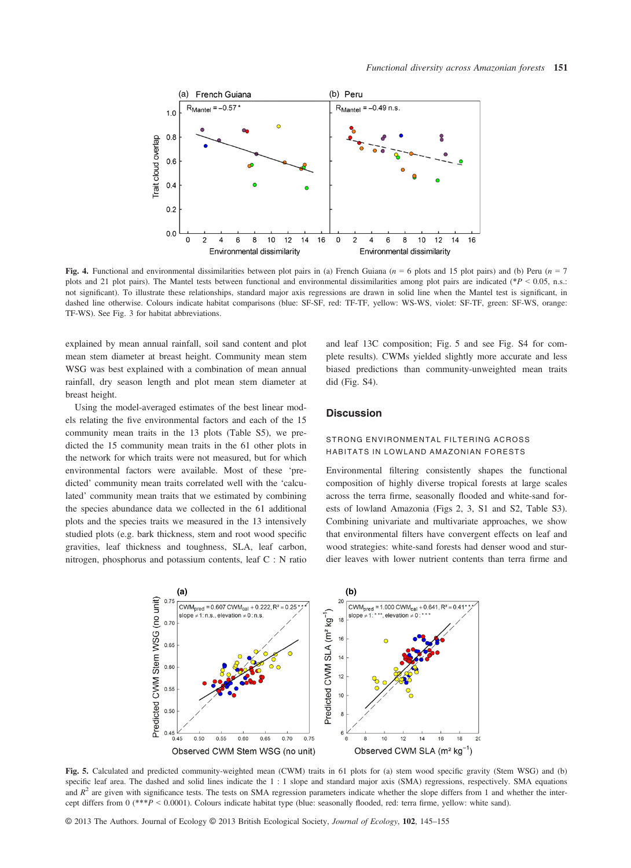

Fig. 4. Functional and environmental dissimilarities between plot pairs in (a) French Guiana ( $n = 6$  plots and 15 plot pairs) and (b) Peru ( $n = 7$ plots and 21 plot pairs). The Mantel tests between functional and environmental dissimilarities among plot pairs are indicated (\* $P < 0.05$ , n.s.: not significant). To illustrate these relationships, standard major axis regressions are drawn in solid line when the Mantel test is significant, in dashed line otherwise. Colours indicate habitat comparisons (blue: SF-SF, red: TF-TF, yellow: WS-WS, violet: SF-TF, green: SF-WS, orange: TF-WS). See Fig. 3 for habitat abbreviations.

explained by mean annual rainfall, soil sand content and plot mean stem diameter at breast height. Community mean stem WSG was best explained with a combination of mean annual rainfall, dry season length and plot mean stem diameter at breast height.

Using the model-averaged estimates of the best linear models relating the five environmental factors and each of the 15 community mean traits in the 13 plots (Table S5), we predicted the 15 community mean traits in the 61 other plots in the network for which traits were not measured, but for which environmental factors were available. Most of these 'predicted' community mean traits correlated well with the 'calculated' community mean traits that we estimated by combining the species abundance data we collected in the 61 additional plots and the species traits we measured in the 13 intensively studied plots (e.g. bark thickness, stem and root wood specific gravities, leaf thickness and toughness, SLA, leaf carbon, nitrogen, phosphorus and potassium contents, leaf C : N ratio and leaf 13C composition; Fig. 5 and see Fig. S4 for complete results). CWMs yielded slightly more accurate and less biased predictions than community-unweighted mean traits did (Fig. S4).

## **Discussion**

# STRONG ENVIRONMENTAL FILTERING ACROSS HABITATS IN LOWLAND AMAZONIAN FORESTS

Environmental filtering consistently shapes the functional composition of highly diverse tropical forests at large scales across the terra firme, seasonally flooded and white-sand forests of lowland Amazonia (Figs 2, 3, S1 and S2, Table S3). Combining univariate and multivariate approaches, we show that environmental filters have convergent effects on leaf and wood strategies: white-sand forests had denser wood and sturdier leaves with lower nutrient contents than terra firme and



Fig. 5. Calculated and predicted community-weighted mean (CWM) traits in 61 plots for (a) stem wood specific gravity (Stem WSG) and (b) specific leaf area. The dashed and solid lines indicate the 1 : 1 slope and standard major axis (SMA) regressions, respectively. SMA equations and  $R<sup>2</sup>$  are given with significance tests. The tests on SMA regression parameters indicate whether the slope differs from 1 and whether the intercept differs from 0 (\*\*\*P < 0.0001). Colours indicate habitat type (blue: seasonally flooded, red: terra firme, yellow: white sand).

© 2013 The Authors. Journal of Ecology © 2013 British Ecological Society, Journal of Ecology, 102, 145–<sup>155</sup>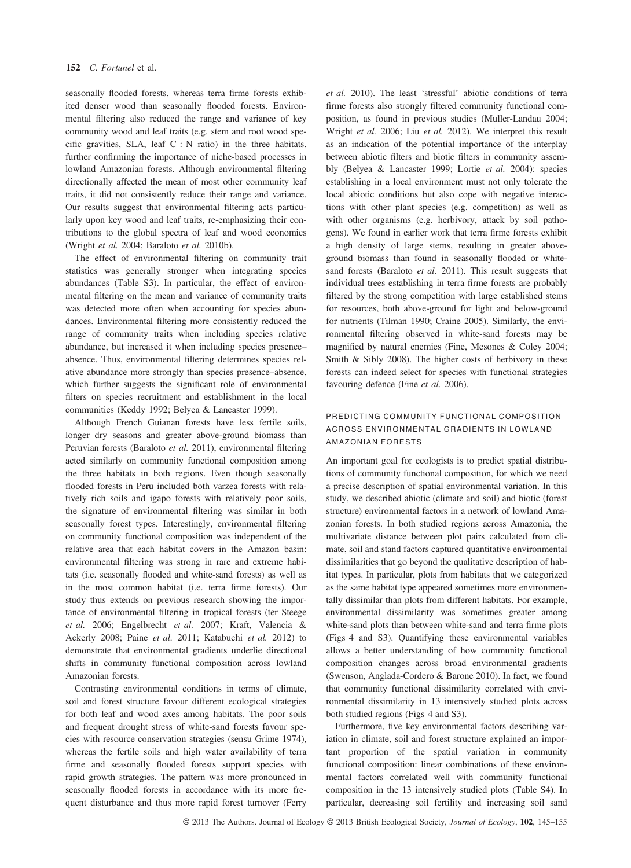seasonally flooded forests, whereas terra firme forests exhibited denser wood than seasonally flooded forests. Environmental filtering also reduced the range and variance of key community wood and leaf traits (e.g. stem and root wood specific gravities, SLA, leaf C : N ratio) in the three habitats, further confirming the importance of niche-based processes in lowland Amazonian forests. Although environmental filtering directionally affected the mean of most other community leaf traits, it did not consistently reduce their range and variance. Our results suggest that environmental filtering acts particularly upon key wood and leaf traits, re-emphasizing their contributions to the global spectra of leaf and wood economics (Wright et al. 2004; Baraloto et al. 2010b).

The effect of environmental filtering on community trait statistics was generally stronger when integrating species abundances (Table S3). In particular, the effect of environmental filtering on the mean and variance of community traits was detected more often when accounting for species abundances. Environmental filtering more consistently reduced the range of community traits when including species relative abundance, but increased it when including species presence– absence. Thus, environmental filtering determines species relative abundance more strongly than species presence–absence, which further suggests the significant role of environmental filters on species recruitment and establishment in the local communities (Keddy 1992; Belyea & Lancaster 1999).

Although French Guianan forests have less fertile soils, longer dry seasons and greater above-ground biomass than Peruvian forests (Baraloto et al. 2011), environmental filtering acted similarly on community functional composition among the three habitats in both regions. Even though seasonally flooded forests in Peru included both varzea forests with relatively rich soils and igapo forests with relatively poor soils, the signature of environmental filtering was similar in both seasonally forest types. Interestingly, environmental filtering on community functional composition was independent of the relative area that each habitat covers in the Amazon basin: environmental filtering was strong in rare and extreme habitats (i.e. seasonally flooded and white-sand forests) as well as in the most common habitat (i.e. terra firme forests). Our study thus extends on previous research showing the importance of environmental filtering in tropical forests (ter Steege et al. 2006; Engelbrecht et al. 2007; Kraft, Valencia & Ackerly 2008; Paine et al. 2011; Katabuchi et al. 2012) to demonstrate that environmental gradients underlie directional shifts in community functional composition across lowland Amazonian forests.

Contrasting environmental conditions in terms of climate, soil and forest structure favour different ecological strategies for both leaf and wood axes among habitats. The poor soils and frequent drought stress of white-sand forests favour species with resource conservation strategies (sensu Grime 1974), whereas the fertile soils and high water availability of terra firme and seasonally flooded forests support species with rapid growth strategies. The pattern was more pronounced in seasonally flooded forests in accordance with its more frequent disturbance and thus more rapid forest turnover (Ferry et al. 2010). The least 'stressful' abiotic conditions of terra firme forests also strongly filtered community functional composition, as found in previous studies (Muller-Landau 2004; Wright et al. 2006; Liu et al. 2012). We interpret this result as an indication of the potential importance of the interplay between abiotic filters and biotic filters in community assembly (Belyea & Lancaster 1999; Lortie et al. 2004): species establishing in a local environment must not only tolerate the local abiotic conditions but also cope with negative interactions with other plant species (e.g. competition) as well as with other organisms (e.g. herbivory, attack by soil pathogens). We found in earlier work that terra firme forests exhibit a high density of large stems, resulting in greater aboveground biomass than found in seasonally flooded or whitesand forests (Baraloto et al. 2011). This result suggests that individual trees establishing in terra firme forests are probably filtered by the strong competition with large established stems for resources, both above-ground for light and below-ground for nutrients (Tilman 1990; Craine 2005). Similarly, the environmental filtering observed in white-sand forests may be magnified by natural enemies (Fine, Mesones & Coley 2004; Smith & Sibly 2008). The higher costs of herbivory in these forests can indeed select for species with functional strategies favouring defence (Fine et al. 2006).

# PREDICTING COMMUNITY FUNCTIONAL COMPOSITION ACROSS ENVIRONMENTAL GRADIENTS IN LOWLAND AMAZONIAN FORESTS

An important goal for ecologists is to predict spatial distributions of community functional composition, for which we need a precise description of spatial environmental variation. In this study, we described abiotic (climate and soil) and biotic (forest structure) environmental factors in a network of lowland Amazonian forests. In both studied regions across Amazonia, the multivariate distance between plot pairs calculated from climate, soil and stand factors captured quantitative environmental dissimilarities that go beyond the qualitative description of habitat types. In particular, plots from habitats that we categorized as the same habitat type appeared sometimes more environmentally dissimilar than plots from different habitats. For example, environmental dissimilarity was sometimes greater among white-sand plots than between white-sand and terra firme plots (Figs 4 and S3). Quantifying these environmental variables allows a better understanding of how community functional composition changes across broad environmental gradients (Swenson, Anglada-Cordero & Barone 2010). In fact, we found that community functional dissimilarity correlated with environmental dissimilarity in 13 intensively studied plots across both studied regions (Figs 4 and S3).

Furthermore, five key environmental factors describing variation in climate, soil and forest structure explained an important proportion of the spatial variation in community functional composition: linear combinations of these environmental factors correlated well with community functional composition in the 13 intensively studied plots (Table S4). In particular, decreasing soil fertility and increasing soil sand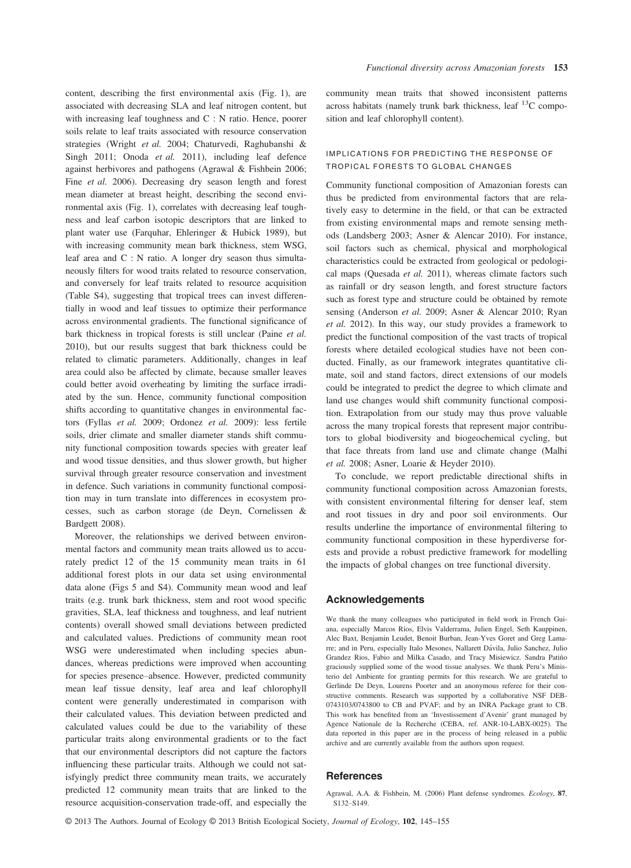content, describing the first environmental axis (Fig. 1), are associated with decreasing SLA and leaf nitrogen content, but with increasing leaf toughness and C : N ratio. Hence, poorer soils relate to leaf traits associated with resource conservation strategies (Wright et al. 2004; Chaturvedi, Raghubanshi & Singh 2011; Onoda et al. 2011), including leaf defence against herbivores and pathogens (Agrawal & Fishbein 2006; Fine *et al.* 2006). Decreasing dry season length and forest mean diameter at breast height, describing the second environmental axis (Fig. 1), correlates with decreasing leaf toughness and leaf carbon isotopic descriptors that are linked to plant water use (Farquhar, Ehleringer & Hubick 1989), but with increasing community mean bark thickness, stem WSG, leaf area and C : N ratio. A longer dry season thus simultaneously filters for wood traits related to resource conservation, and conversely for leaf traits related to resource acquisition (Table S4), suggesting that tropical trees can invest differentially in wood and leaf tissues to optimize their performance across environmental gradients. The functional significance of bark thickness in tropical forests is still unclear (Paine et al. 2010), but our results suggest that bark thickness could be related to climatic parameters. Additionally, changes in leaf area could also be affected by climate, because smaller leaves could better avoid overheating by limiting the surface irradiated by the sun. Hence, community functional composition shifts according to quantitative changes in environmental factors (Fyllas et al. 2009; Ordonez et al. 2009): less fertile soils, drier climate and smaller diameter stands shift community functional composition towards species with greater leaf and wood tissue densities, and thus slower growth, but higher survival through greater resource conservation and investment in defence. Such variations in community functional composition may in turn translate into differences in ecosystem processes, such as carbon storage (de Deyn, Cornelissen & Bardgett 2008).

Moreover, the relationships we derived between environmental factors and community mean traits allowed us to accurately predict 12 of the 15 community mean traits in 61 additional forest plots in our data set using environmental data alone (Figs 5 and S4). Community mean wood and leaf traits (e.g. trunk bark thickness, stem and root wood specific gravities, SLA, leaf thickness and toughness, and leaf nutrient contents) overall showed small deviations between predicted and calculated values. Predictions of community mean root WSG were underestimated when including species abundances, whereas predictions were improved when accounting for species presence–absence. However, predicted community mean leaf tissue density, leaf area and leaf chlorophyll content were generally underestimated in comparison with their calculated values. This deviation between predicted and calculated values could be due to the variability of these particular traits along environmental gradients or to the fact that our environmental descriptors did not capture the factors influencing these particular traits. Although we could not satisfyingly predict three community mean traits, we accurately predicted 12 community mean traits that are linked to the resource acquisition-conservation trade-off, and especially the

community mean traits that showed inconsistent patterns across habitats (namely trunk bark thickness, leaf  $^{13}$ C composition and leaf chlorophyll content).

# IMPLICATIONS FOR PREDICTING THE RESPONSE OF TROPICAL FORESTS TO GLOBAL CHANGES

Community functional composition of Amazonian forests can thus be predicted from environmental factors that are relatively easy to determine in the field, or that can be extracted from existing environmental maps and remote sensing methods (Landsberg 2003; Asner & Alencar 2010). For instance, soil factors such as chemical, physical and morphological characteristics could be extracted from geological or pedological maps (Quesada et al. 2011), whereas climate factors such as rainfall or dry season length, and forest structure factors such as forest type and structure could be obtained by remote sensing (Anderson et al. 2009; Asner & Alencar 2010; Ryan et al. 2012). In this way, our study provides a framework to predict the functional composition of the vast tracts of tropical forests where detailed ecological studies have not been conducted. Finally, as our framework integrates quantitative climate, soil and stand factors, direct extensions of our models could be integrated to predict the degree to which climate and land use changes would shift community functional composition. Extrapolation from our study may thus prove valuable across the many tropical forests that represent major contributors to global biodiversity and biogeochemical cycling, but that face threats from land use and climate change (Malhi et al. 2008; Asner, Loarie & Heyder 2010).

To conclude, we report predictable directional shifts in community functional composition across Amazonian forests, with consistent environmental filtering for denser leaf, stem and root tissues in dry and poor soil environments. Our results underline the importance of environmental filtering to community functional composition in these hyperdiverse forests and provide a robust predictive framework for modelling the impacts of global changes on tree functional diversity.

#### Acknowledgements

We thank the many colleagues who participated in field work in French Guiana, especially Marcos Ríos, Elvis Valderrama, Julien Engel, Seth Kauppinen, Alec Baxt, Benjamin Leudet, Benoit Burban, Jean-Yves Goret and Greg Lamarre; and in Peru, especially Italo Mesones, Nallarett Dávila, Julio Sanchez, Julio Grandez Rios, Fabio and Milka Casado, and Tracy Misiewicz. Sandra Patiño graciously supplied some of the wood tissue analyses. We thank Peru's Ministerio del Ambiente for granting permits for this research. We are grateful to Gerlinde De Deyn, Lourens Poorter and an anonymous referee for their constructive comments. Research was supported by a collaborative NSF DEB-0743103/0743800 to CB and PVAF; and by an INRA Package grant to CB. This work has benefited from an 'Investissement d'Avenir' grant managed by Agence Nationale de la Recherche (CEBA, ref. ANR-10-LABX-0025). The data reported in this paper are in the process of being released in a public archive and are currently available from the authors upon request.

# **References**

Agrawal, A.A. & Fishbein, M. (2006) Plant defense syndromes. Ecology, 87, S132–S149.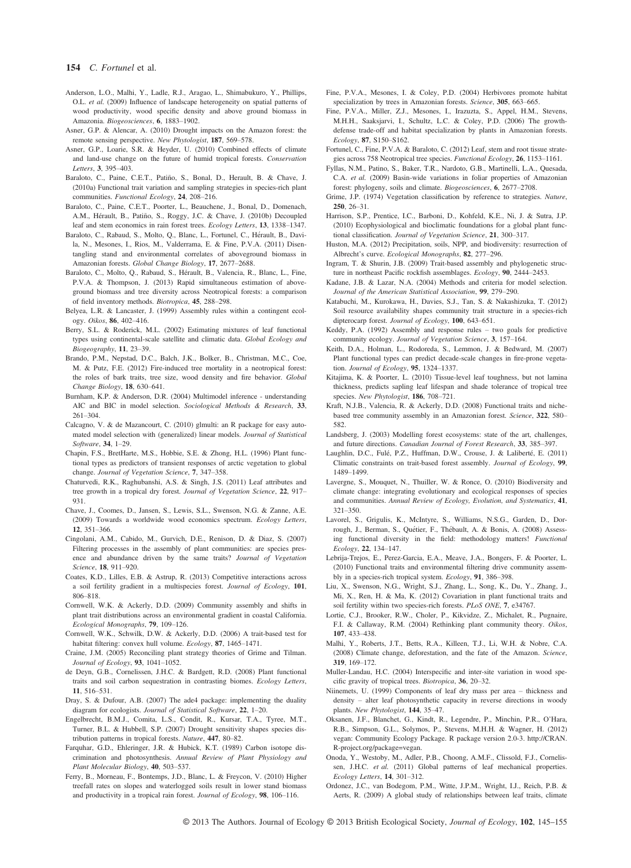#### 154 C. Fortunel et al.

- Anderson, L.O., Malhi, Y., Ladle, R.J., Aragao, L., Shimabukuro, Y., Phillips, O.L. et al. (2009) Influence of landscape heterogeneity on spatial patterns of wood productivity, wood specific density and above ground biomass in Amazonia. Biogeosciences, 6, 1883–1902.
- Asner, G.P. & Alencar, A. (2010) Drought impacts on the Amazon forest: the remote sensing perspective. New Phytologist. 187, 569–578.
- remote sensing perspective. New Phytologist, **187**, 569–578.<br>Asner, G.P., Loarie, S.R. & Heyder, U. (2010) Combined effects of climate and land-use change on the future of humid tropical forests. Conservation Letters. 3. 395-403.
- Letters, 3, 395–403.<br>Baraloto, C., Paine, C.E.T., Patiño, S., Bonal, D., Herault, B. & Chave, J. (2010a) Functional trait variation and sampling strategies in species-rich plant communities. Functional Ecology, 24, 208–216.
- Baraloto, C., Paine, C.E.T., Poorter, L., Beauchene, J., Bonal, D., Domenach, A.M., Hérault, B., Patiño, S., Roggy, J.C. & Chave, J. (2010b) Decoupled leaf and stem economics in rain forest trees. Ecology Letters, 13, 1338–1347.
- Baraloto, C., Rabaud, S., Molto, Q., Blanc, L., Fortunel, C., Hérault, B., Davila, N., Mesones, I., Rios, M., Valderrama, E. & Fine, P.V.A. (2011) Disentangling stand and environmental correlates of aboveground biomass in Amazonian forests. Global Change Biology, 17, 2677–2688.
- Baraloto, C., Molto, Q., Rabaud, S., Hérault, B., Valencia, R., Blanc, L., Fine, P.V.A. & Thompson, J. (2013) Rapid simultaneous estimation of aboveground biomass and tree diversity across Neotropical forests: a comparison of field inventory methods. Biotropica, 45, 288–298.
- Belyea, L.R. & Lancaster, J. (1999) Assembly rules within a contingent ecology. Oikos, 86, 402–416.
- Berry, S.L. & Roderick, M.L. (2002) Estimating mixtures of leaf functional types using continental-scale satellite and climatic data. Global Ecology and Biogeography, 11, 23–39.
- Brando, P.M., Nepstad, D.C., Balch, J.K., Bolker, B., Christman, M.C., Coe, M. & Putz, F.E. (2012) Fire-induced tree mortality in a neotropical forest: the roles of bark traits, tree size, wood density and fire behavior. Global Change Biology, 18, 630–641.
- Burnham, K.P. & Anderson, D.R. (2004) Multimodel inference understanding AIC and BIC in model selection. Sociological Methods & Research, 33, 261–304.
- Calcagno, V. & de Mazancourt, C. (2010) glmulti: an R package for easy automated model selection with (generalized) linear models. Journal of Statistical
- Software, 34, 1-29.<br>Chapin, F.S., BretHarte, M.S., Hobbie, S.E. & Zhong, H.L. (1996) Plant functional types as predictors of transient responses of arctic vegetation to global change. Journal of Vegetation Science, 7, 347–358.
- Chaturvedi, R.K., Raghubanshi, A.S. & Singh, J.S. (2011) Leaf attributes and tree growth in a tropical dry forest. Journal of Vegetation Science, 22, 917-931.
- Chave, J., Coomes, D., Jansen, S., Lewis, S.L., Swenson, N.G. & Zanne, A.E. (2009) Towards a worldwide wood economics spectrum. Ecology Letters, 12, 351–366.
- Cingolani, A.M., Cabido, M., Gurvich, D.E., Renison, D. & Diaz, S. (2007) Filtering processes in the assembly of plant communities: are species presence and abundance driven by the same traits? Journal of Vegetation Science, 18, 911–920.
- Coates, K.D., Lilles, E.B. & Astrup, R. (2013) Competitive interactions across a soil fertility gradient in a multispecies forest. Journal of Ecology, 101, 806–818.
- Cornwell, W.K. & Ackerly, D.D. (2009) Community assembly and shifts in plant trait distributions across an environmental gradient in coastal California. Ecological Monographs, 79, 109–126.
- Cornwell, W.K., Schwilk, D.W. & Ackerly, D.D. (2006) A trait-based test for habitat filtering: convex hull volume. Ecology, 87, 1465–1471.
- Craine, J.M. (2005) Reconciling plant strategy theories of Grime and Tilman. Journal of Ecology, 93, 1041–1052.
- de Deyn, G.B., Cornelissen, J.H.C. & Bardgett, R.D. (2008) Plant functional traits and soil carbon sequestration in contrasting biomes. Ecology Letters, 11, 516–531.
- Dray, S. & Dufour, A.B. (2007) The ade4 package: implementing the duality diagram for ecologists. Journal of Statistical Software, 22, 1–20.
- Engelbrecht, B.M.J., Comita, L.S., Condit, R., Kursar, T.A., Tyree, M.T., Turner, B.L. & Hubbell, S.P. (2007) Drought sensitivity shapes species distribution patterns in tropical forests. Nature, 447, 80–82.
- Farquhar, G.D., Ehleringer, J.R. & Hubick, K.T. (1989) Carbon isotope discrimination and photosynthesis. Annual Review of Plant Physiology and Plant Molecular Biology, 40, 503–537.
- Ferry, B., Morneau, F., Bontemps, J.D., Blanc, L. & Freycon, V. (2010) Higher treefall rates on slopes and waterlogged soils result in lower stand biomass and productivity in a tropical rain forest. Journal of Ecology, 98, 106–116.
- Fine, P.V.A., Mesones, I. & Coley, P.D. (2004) Herbivores promote habitat specialization by trees in Amazonian forests. Science, 305, 663–665.
- Fine, P.V.A., Miller, Z.J., Mesones, I., Irazuzta, S., Appel, H.M., Stevens, M.H.H., Saaksjarvi, I., Schultz, L.C. & Coley, P.D. (2006) The growthdefense trade-off and habitat specialization by plants in Amazonian forests.
- Ecology, 87, S150–S162.<br>Fortunel, C., Fine, P.V.A. & Baraloto, C. (2012) Leaf, stem and root tissue strategies across 758 Neotropical tree species. Functional Ecology, 26, 1153–1161.
- Fyllas, N.M., Patino, S., Baker, T.R., Nardoto, G.B., Martinelli, L.A., Quesada, C.A. et al. (2009) Basin-wide variations in foliar properties of Amazonian forest: phylogeny, soils and climate. Biogeosciences, 6, 2677–2708.
- Grime, J.P. (1974) Vegetation classification by reference to strategies. Nature,
- 250, 26–31. Harrison, S.P., Prentice, I.C., Barboni, D., Kohfeld, K.E., Ni, J. & Sutra, J.P. (2010) Ecophysiological and bioclimatic foundations for a global plant functional classification. Journal of Vegetation Science, 21, 300–317.
- Huston, M.A. (2012) Precipitation, soils, NPP, and biodiversity: resurrection of Albrecht's curve. Ecological Monographs, 82, 277–296.
- Ingram, T. & Shurin, J.B. (2009) Trait-based assembly and phylogenetic structure in northeast Pacific rockfish assemblages. Ecology, 90, 2444–2453.
- Kadane, J.B. & Lazar, N.A. (2004) Methods and criteria for model selection. Journal of the American Statistical Association, 99, 279–290.
- Katabuchi, M., Kurokawa, H., Davies, S.J., Tan, S. & Nakashizuka, T. (2012) Soil resource availability shapes community trait structure in a species-rich dipterocarp forest. Journal of Ecology, 100, 643–651.
- Keddy, P.A. (1992) Assembly and response rules two goals for predictive community ecology. Journal of Vegetation Science, 3, 157–164.
- Keith, D.A., Holman, L., Rodoreda, S., Lemmon, J. & Bedward, M. (2007) Plant functional types can predict decade-scale changes in fire-prone vegetation. Journal of Ecology, 95, 1324–1337.
- Kitajima, K. & Poorter, L. (2010) Tissue-level leaf toughness, but not lamina thickness, predicts sapling leaf lifespan and shade tolerance of tropical tree species. New Phytologist, 186, 708-721.
- Kraft, N.J.B., Valencia, R. & Ackerly, D.D. (2008) Functional traits and nichebased tree community assembly in an Amazonian forest. Science, 322, 580– 582.
- Landsberg, J. (2003) Modelling forest ecosystems: state of the art, challenges, and future directions. Canadian Journal of Forest Research, 33, 385–397.
- Laughlin, D.C., Fulé, P.Z., Huffman, D.W., Crouse, J. & Laliberté, E. (2011) Climatic constraints on trait-based forest assembly. Journal of Ecology, 99, 1489–1499.
- Lavergne, S., Mouquet, N., Thuiller, W. & Ronce, O. (2010) Biodiversity and climate change: integrating evolutionary and ecological responses of species and communities. Annual Review of Ecology, Evolution, and Systematics, 41, 321–350.
- Lavorel, S., Grigulis, K., McIntyre, S., Williams, N.S.G., Garden, D., Dorrough, J., Berman, S., Quétier, F., Thébault, A. & Bonis, A. (2008) Assessing functional diversity in the field: methodology matters! Functional Ecology, 22, 134–147.
- Lebrija-Trejos, E., Perez-Garcia, E.A., Meave, J.A., Bongers, F. & Poorter, L. (2010) Functional traits and environmental filtering drive community assembly in a species-rich tropical system. Ecology, 91, 386–398.
- Liu, X., Swenson, N.G., Wright, S.J., Zhang, L., Song, K., Du, Y., Zhang, J., Mi, X., Ren, H. & Ma, K. (2012) Covariation in plant functional traits and soil fertility within two species-rich forests. PLoS ONE, 7, e34767.
- Lortie, C.J., Brooker, R.W., Choler, P., Kikvidze, Z., Michalet, R., Pugnaire, F.I. & Callaway, R.M. (2004) Rethinking plant community theory. Oikos, 107, 433–438.
- Malhi, Y., Roberts, J.T., Betts, R.A., Killeen, T.J., Li, W.H. & Nobre, C.A. (2008) Climate change, deforestation, and the fate of the Amazon. Science,
- 319, 169–172. Muller-Landau, H.C. (2004) Interspecific and inter-site variation in wood specific gravity of tropical trees. Biotropica, 36, 20–32.
- Niinemets, U. (1999) Components of leaf dry mass per area thickness and density – alter leaf photosynthetic capacity in reverse directions in woody plants. New Phytologist, 144, 35–47.
- Oksanen, J.F., Blanchet, G., Kindt, R., Legendre, P., Minchin, P.R., O'Hara, R.B., Simpson, G.L., Solymos, P., Stevens, M.H.H. & Wagner, H. (2012) vegan: Community Ecology Package. R package version 2.0-3. http://CRAN. R-project.org/package=vegan.
- Onoda, Y., Westoby, M., Adler, P.B., Choong, A.M.F., Clissold, F.J., Cornelissen, J.H.C. et al. (2011) Global patterns of leaf mechanical properties. Ecology Letters, 14, 301–312.
- Ordonez, J.C., van Bodegom, P.M., Witte, J.P.M., Wright, I.J., Reich, P.B. & Aerts, R. (2009) A global study of relationships between leaf traits, climate